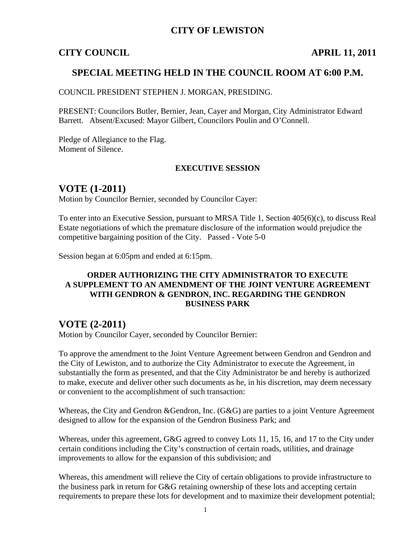## **CITY OF LEWISTON**

#### **CITY COUNCIL APRIL 11, 2011**

#### **SPECIAL MEETING HELD IN THE COUNCIL ROOM AT 6:00 P.M.**

COUNCIL PRESIDENT STEPHEN J. MORGAN, PRESIDING.

PRESENT: Councilors Butler, Bernier, Jean, Cayer and Morgan, City Administrator Edward Barrett. Absent/Excused: Mayor Gilbert, Councilors Poulin and O'Connell.

Pledge of Allegiance to the Flag. Moment of Silence.

#### **EXECUTIVE SESSION**

### **VOTE (1-2011)**

Motion by Councilor Bernier, seconded by Councilor Cayer:

To enter into an Executive Session, pursuant to MRSA Title 1, Section 405(6)(c), to discuss Real Estate negotiations of which the premature disclosure of the information would prejudice the competitive bargaining position of the City. Passed - Vote 5-0

Session began at 6:05pm and ended at 6:15pm.

#### **ORDER AUTHORIZING THE CITY ADMINISTRATOR TO EXECUTE A SUPPLEMENT TO AN AMENDMENT OF THE JOINT VENTURE AGREEMENT WITH GENDRON & GENDRON, INC. REGARDING THE GENDRON BUSINESS PARK**

### **VOTE (2-2011)**

Motion by Councilor Cayer, seconded by Councilor Bernier:

To approve the amendment to the Joint Venture Agreement between Gendron and Gendron and the City of Lewiston, and to authorize the City Administrator to execute the Agreement, in substantially the form as presented, and that the City Administrator be and hereby is authorized to make, execute and deliver other such documents as he, in his discretion, may deem necessary or convenient to the accomplishment of such transaction:

Whereas, the City and Gendron &Gendron, Inc. (G&G) are parties to a joint Venture Agreement designed to allow for the expansion of the Gendron Business Park; and

Whereas, under this agreement, G&G agreed to convey Lots 11, 15, 16, and 17 to the City under certain conditions including the City's construction of certain roads, utilities, and drainage improvements to allow for the expansion of this subdivision; and

Whereas, this amendment will relieve the City of certain obligations to provide infrastructure to the business park in return for G&G retaining ownership of these lots and accepting certain requirements to prepare these lots for development and to maximize their development potential;